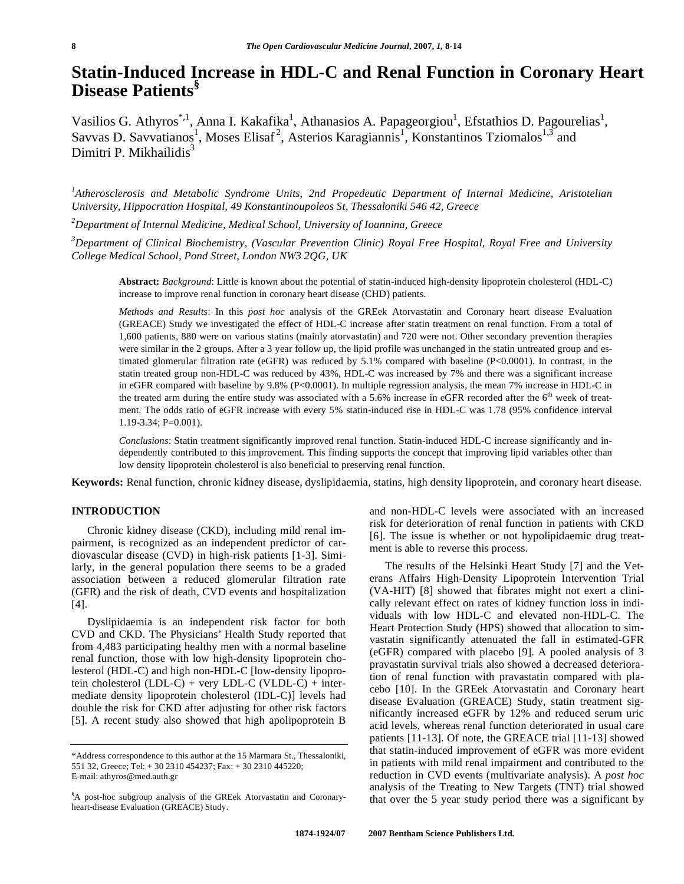# **Statin-Induced Increase in HDL-C and Renal Function in Coronary Heart Disease Patients§**

Vasilios G. Athyros<sup>\*,1</sup>, Anna I. Kakafika<sup>1</sup>, Athanasios A. Papageorgiou<sup>1</sup>, Efstathios D. Pagourelias<sup>1</sup>, Savvas D. Savvatianos<sup>1</sup>, Moses Elisaf<sup>2</sup>, Asterios Karagiannis<sup>1</sup>, Konstantinos Tziomalos<sup>1,3</sup> and Dimitri P. Mikhailidis $3$ 

*1 Atherosclerosis and Metabolic Syndrome Units, 2nd Propedeutic Department of Internal Medicine, Aristotelian University, Hippocration Hospital, 49 Konstantinoupoleos St, Thessaloniki 546 42, Greece* 

*2 Department of Internal Medicine, Medical School, University of Ioannina, Greece* 

*3 Department of Clinical Biochemistry, (Vascular Prevention Clinic) Royal Free Hospital, Royal Free and University College Medical School, Pond Street, London NW3 2QG, UK*

**Abstract:** *Background*: Little is known about the potential of statin-induced high-density lipoprotein cholesterol (HDL-C) increase to improve renal function in coronary heart disease (CHD) patients.

*Methods and Results*: In this *post hoc* analysis of the GREek Atorvastatin and Coronary heart disease Evaluation (GREACE) Study we investigated the effect of HDL-C increase after statin treatment on renal function. From a total of 1,600 patients, 880 were on various statins (mainly atorvastatin) and 720 were not. Other secondary prevention therapies were similar in the 2 groups. After a 3 year follow up, the lipid profile was unchanged in the statin untreated group and estimated glomerular filtration rate (eGFR) was reduced by 5.1% compared with baseline (P<0.0001). In contrast, in the statin treated group non-HDL-C was reduced by 43%, HDL-C was increased by 7% and there was a significant increase in eGFR compared with baseline by 9.8% (P<0.0001). In multiple regression analysis, the mean 7% increase in HDL-C in the treated arm during the entire study was associated with a 5.6% increase in eGFR recorded after the  $6<sup>th</sup>$  week of treatment. The odds ratio of eGFR increase with every 5% statin-induced rise in HDL-C was 1.78 (95% confidence interval 1.19-3.34; P=0.001).

*Conclusions*: Statin treatment significantly improved renal function. Statin-induced HDL-C increase significantly and independently contributed to this improvement. This finding supports the concept that improving lipid variables other than low density lipoprotein cholesterol is also beneficial to preserving renal function.

**Keywords:** Renal function, chronic kidney disease, dyslipidaemia, statins, high density lipoprotein, and coronary heart disease.

# **INTRODUCTION**

 Chronic kidney disease (CKD), including mild renal impairment, is recognized as an independent predictor of cardiovascular disease (CVD) in high-risk patients [1-3]. Similarly, in the general population there seems to be a graded association between a reduced glomerular filtration rate (GFR) and the risk of death, CVD events and hospitalization [4].

 Dyslipidaemia is an independent risk factor for both CVD and CKD. The Physicians' Health Study reported that from 4,483 participating healthy men with a normal baseline renal function, those with low high-density lipoprotein cholesterol (HDL-C) and high non-HDL-C [low-density lipoprotein cholesterol  $(LDL-C)$  + very  $LDL-C$   $(VLDL-C)$  + intermediate density lipoprotein cholesterol (IDL-C)] levels had double the risk for CKD after adjusting for other risk factors [5]. A recent study also showed that high apolipoprotein B

and non-HDL-C levels were associated with an increased risk for deterioration of renal function in patients with CKD [6]. The issue is whether or not hypolipidaemic drug treatment is able to reverse this process.

 The results of the Helsinki Heart Study [7] and the Veterans Affairs High-Density Lipoprotein Intervention Trial (VA-HIT) [8] showed that fibrates might not exert a clinically relevant effect on rates of kidney function loss in individuals with low HDL-C and elevated non-HDL-C. The Heart Protection Study (HPS) showed that allocation to simvastatin significantly attenuated the fall in estimated-GFR (eGFR) compared with placebo [9]. A pooled analysis of 3 pravastatin survival trials also showed a decreased deterioration of renal function with pravastatin compared with placebo [10]. In the GREek Atorvastatin and Coronary heart disease Evaluation (GREACE) Study, statin treatment significantly increased eGFR by 12% and reduced serum uric acid levels, whereas renal function deteriorated in usual care patients [11-13]. Of note, the GREACE trial [11-13] showed that statin-induced improvement of eGFR was more evident in patients with mild renal impairment and contributed to the reduction in CVD events (multivariate analysis). A *post hoc* analysis of the Treating to New Targets (TNT) trial showed that over the 5 year study period there was a significant by

<sup>\*</sup>Address correspondence to this author at the 15 Marmara St., Thessaloniki, 551 32, Greece; Tel: + 30 2310 454237; Fax: + 30 2310 445220; E-mail: athyros@med.auth.gr

<sup>§</sup> A post-hoc subgroup analysis of the GREek Atorvastatin and Coronaryheart-disease Evaluation (GREACE) Study.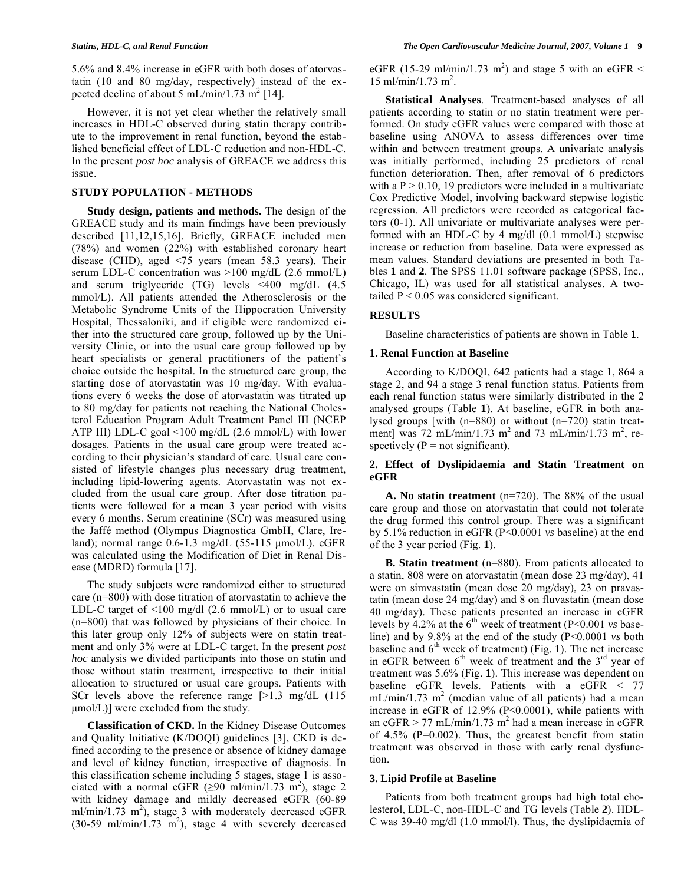5.6% and 8.4% increase in eGFR with both doses of atorvastatin (10 and 80 mg/day, respectively) instead of the expected decline of about  $5 \text{ mL/min}/1.73 \text{ m}^2$  [14].

 However, it is not yet clear whether the relatively small increases in HDL-C observed during statin therapy contribute to the improvement in renal function, beyond the established beneficial effect of LDL-C reduction and non-HDL-C. In the present *post hoc* analysis of GREACE we address this issue.

#### **STUDY POPULATION - METHODS**

 **Study design, patients and methods.** The design of the GREACE study and its main findings have been previously described [11,12,15,16]. Briefly, GREACE included men (78%) and women (22%) with established coronary heart disease (CHD), aged <75 years (mean 58.3 years). Their serum LDL-C concentration was >100 mg/dL (2.6 mmol/L) and serum triglyceride (TG) levels <400 mg/dL (4.5 mmol/L). All patients attended the Atherosclerosis or the Metabolic Syndrome Units of the Hippocration University Hospital, Thessaloniki, and if eligible were randomized either into the structured care group, followed up by the University Clinic, or into the usual care group followed up by heart specialists or general practitioners of the patient's choice outside the hospital. In the structured care group, the starting dose of atorvastatin was 10 mg/day. With evaluations every 6 weeks the dose of atorvastatin was titrated up to 80 mg/day for patients not reaching the National Cholesterol Education Program Adult Treatment Panel III (NCEP ATP III) LDL-C goal <100 mg/dL (2.6 mmol/L) with lower dosages. Patients in the usual care group were treated according to their physician's standard of care. Usual care consisted of lifestyle changes plus necessary drug treatment, including lipid-lowering agents. Atorvastatin was not excluded from the usual care group. After dose titration patients were followed for a mean 3 year period with visits every 6 months. Serum creatinine (SCr) was measured using the Jaffé method (Olympus Diagnostica GmbH, Clare, Ireland); normal range 0.6-1.3 mg/dL (55-115 μmol/L). eGFR was calculated using the Modification of Diet in Renal Disease (MDRD) formula [17].

 The study subjects were randomized either to structured care (n=800) with dose titration of atorvastatin to achieve the LDL-C target of  $\leq 100$  mg/dl (2.6 mmol/L) or to usual care (n=800) that was followed by physicians of their choice. In this later group only 12% of subjects were on statin treatment and only 3% were at LDL-C target. In the present *post hoc* analysis we divided participants into those on statin and those without statin treatment, irrespective to their initial allocation to structured or usual care groups. Patients with SCr levels above the reference range [>1.3 mg/dL (115  $\mu$ mol/L)] were excluded from the study.

 **Classification of CKD.** In the Kidney Disease Outcomes and Quality Initiative (K/DOQI) guidelines [3], CKD is defined according to the presence or absence of kidney damage and level of kidney function, irrespective of diagnosis. In this classification scheme including 5 stages, stage 1 is associated with a normal eGFR  $(≥90 \text{ ml/min}/1.73 \text{ m}^2)$ , stage 2 with kidney damage and mildly decreased eGFR (60-89  $ml/min/1.73$  m<sup>2</sup>), stage 3 with moderately decreased eGFR  $(30-59 \text{ ml/min}/1.73 \text{ m}^2)$ , stage 4 with severely decreased eGFR (15-29 ml/min/1.73 m<sup>2</sup>) and stage 5 with an eGFR  $\leq$  $15 \text{ ml/min}/1.73 \text{ m}^2$ .

 **Statistical Analyses**. Treatment-based analyses of all patients according to statin or no statin treatment were performed. On study eGFR values were compared with those at baseline using ANOVA to assess differences over time within and between treatment groups. A univariate analysis was initially performed, including 25 predictors of renal function deterioration. Then, after removal of 6 predictors with a  $P > 0.10$ , 19 predictors were included in a multivariate Cox Predictive Model, involving backward stepwise logistic regression. All predictors were recorded as categorical factors (0-1). All univariate or multivariate analyses were performed with an HDL-C by 4 mg/dl (0.1 mmol/L) stepwise increase or reduction from baseline. Data were expressed as mean values. Standard deviations are presented in both Tables **1** and **2**. The SPSS 11.01 software package (SPSS, Inc., Chicago, IL) was used for all statistical analyses. A twotailed  $P < 0.05$  was considered significant.

#### **RESULTS**

Baseline characteristics of patients are shown in Table **1**.

#### **1. Renal Function at Baseline**

 According to K/DOQI, 642 patients had a stage 1, 864 a stage 2, and 94 a stage 3 renal function status. Patients from each renal function status were similarly distributed in the 2 analysed groups (Table **1**). At baseline, eGFR in both analysed groups [with (n=880) or without (n=720) statin treatment] was  $72 \text{ mL/min}/1.73 \text{ m}^2$  and  $73 \text{ mL/min}/1.73 \text{ m}^2$ , respectively ( $P = not significant$ ).

#### **2. Effect of Dyslipidaemia and Statin Treatment on eGFR**

 **A. No statin treatment** (n=720). The 88% of the usual care group and those on atorvastatin that could not tolerate the drug formed this control group. There was a significant by 5.1% reduction in eGFR (P<0.0001 *vs* baseline) at the end of the 3 year period (Fig. **1**).

 **B. Statin treatment** (n=880). From patients allocated to a statin, 808 were on atorvastatin (mean dose 23 mg/day), 41 were on simvastatin (mean dose 20 mg/day), 23 on pravastatin (mean dose 24 mg/day) and 8 on fluvastatin (mean dose 40 mg/day). These patients presented an increase in eGFR levels by 4.2% at the 6th week of treatment (P<0.001 *vs* baseline) and by 9.8% at the end of the study (P<0.0001 *vs* both baseline and  $6<sup>th</sup>$  week of treatment) (Fig. **1**). The net increase in eGFR between  $6<sup>th</sup>$  week of treatment and the  $3<sup>rd</sup>$  year of treatment was 5.6% (Fig. **1**). This increase was dependent on baseline eGFR levels. Patients with a eGFR < 77  $mL/min/1.73$  m<sup>2</sup> (median value of all patients) had a mean increase in eGFR of 12.9% (P<0.0001), while patients with an eGFR > 77 mL/min/1.73 m<sup>2</sup> had a mean increase in eGFR of 4.5% (P=0.002). Thus, the greatest benefit from statin treatment was observed in those with early renal dysfunction.

#### **3. Lipid Profile at Baseline**

 Patients from both treatment groups had high total cholesterol, LDL-C, non-HDL-C and TG levels (Table **2**). HDL-C was 39-40 mg/dl (1.0 mmol/l). Thus, the dyslipidaemia of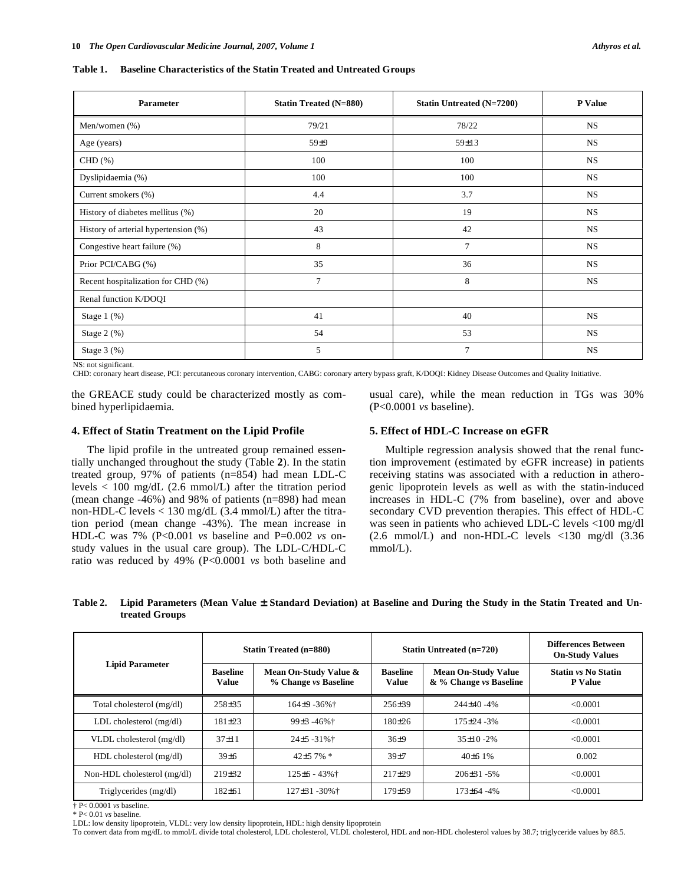**Table 1. Baseline Characteristics of the Statin Treated and Untreated Groups** 

| Parameter                            | <b>Statin Treated (N=880)</b> | <b>Statin Untreated (N=7200)</b> | <b>P</b> Value |
|--------------------------------------|-------------------------------|----------------------------------|----------------|
| Men/women (%)                        | 79/21                         | 78/22                            | <b>NS</b>      |
| Age (years)                          | $59\pm9$                      | $59 \pm 13$                      | <b>NS</b>      |
| $CHD(\%)$                            | 100                           | 100                              | <b>NS</b>      |
| Dyslipidaemia (%)                    | 100                           | 100                              | <b>NS</b>      |
| Current smokers (%)                  | 4.4                           | 3.7                              | <b>NS</b>      |
| History of diabetes mellitus (%)     | 20                            | 19                               | <b>NS</b>      |
| History of arterial hypertension (%) | 43                            | 42                               | <b>NS</b>      |
| Congestive heart failure (%)         | 8                             | 7                                | <b>NS</b>      |
| Prior PCI/CABG (%)                   | 35                            | 36                               | <b>NS</b>      |
| Recent hospitalization for CHD (%)   | 7                             | 8                                | <b>NS</b>      |
| Renal function K/DOQI                |                               |                                  |                |
| Stage $1$ $(\%)$                     | 41                            | 40                               | <b>NS</b>      |
| Stage $2$ (%)                        | 54                            | 53                               | <b>NS</b>      |
| Stage 3 (%)                          | 5                             | $\overline{7}$                   | <b>NS</b>      |

NS: not significant.

CHD: coronary heart disease, PCI: percutaneous coronary intervention, CABG: coronary artery bypass graft, K/DOQI: Kidney Disease Outcomes and Quality Initiative.

the GREACE study could be characterized mostly as combined hyperlipidaemia.

usual care), while the mean reduction in TGs was 30% (P<0.0001 *vs* baseline).

## **4. Effect of Statin Treatment on the Lipid Profile**

 The lipid profile in the untreated group remained essentially unchanged throughout the study (Table **2**). In the statin treated group, 97% of patients (n=854) had mean LDL-C levels < 100 mg/dL (2.6 mmol/L) after the titration period (mean change -46%) and 98% of patients (n=898) had mean non-HDL-C levels < 130 mg/dL (3.4 mmol/L) after the titration period (mean change -43%). The mean increase in HDL-C was 7% (P<0.001 *vs* baseline and P=0.002 *vs* onstudy values in the usual care group). The LDL-C/HDL-C ratio was reduced by 49% (P<0.0001 *vs* both baseline and

# **5. Effect of HDL-C Increase on eGFR**

 Multiple regression analysis showed that the renal function improvement (estimated by eGFR increase) in patients receiving statins was associated with a reduction in atherogenic lipoprotein levels as well as with the statin-induced increases in HDL-C (7% from baseline), over and above secondary CVD prevention therapies. This effect of HDL-C was seen in patients who achieved LDL-C levels <100 mg/dl (2.6 mmol/L) and non-HDL-C levels <130 mg/dl (3.36 mmol/L).

| Table 2. Lipid Parameters (Mean Value ± Standard Deviation) at Baseline and During the Study in the Statin Treated and Un- |
|----------------------------------------------------------------------------------------------------------------------------|
| treated Groups                                                                                                             |

|                             | <b>Statin Treated (n=880)</b>   |                                               | <b>Statin Untreated (n=720)</b> |                                                      | Differences Between<br><b>On-Study Values</b> |
|-----------------------------|---------------------------------|-----------------------------------------------|---------------------------------|------------------------------------------------------|-----------------------------------------------|
| <b>Lipid Parameter</b>      | <b>Baseline</b><br><b>Value</b> | Mean On-Study Value &<br>% Change vs Baseline | <b>Baseline</b><br><b>Value</b> | <b>Mean On-Study Value</b><br>& % Change vs Baseline | <b>Statin vs No Statin</b><br><b>P</b> Value  |
| Total cholesterol (mg/dl)   | $258 + 35$                      | $164+9 - 36%$                                 | $256+39$                        | $244+40 - 4%$                                        | <0.0001                                       |
| $LDL$ cholesterol $(mg/dl)$ | $181 + 23$                      | $99\pm3.46\%$                                 | $180+26$                        | $175 + 24 - 3%$                                      | < 0.0001                                      |
| VLDL cholesterol (mg/dl)    | $37+11$                         | $24 \pm 5 - 31\%$                             | $36+9$                          | $35+10-2%$                                           | < 0.0001                                      |
| $HDL$ cholesterol (mg/dl)   | $39 \pm 6$                      | $42+57\%$ *                                   | $39 + 7$                        | $40+61%$                                             | 0.002                                         |
| Non-HDL cholesterol (mg/dl) | $219 + 32$                      | $125 \pm 6 - 43\%$                            | $217+29$                        | $206+31-5%$                                          | < 0.0001                                      |
| Triglycerides (mg/dl)       | $182 + 61$                      | $127 \pm 31 - 30\%$ <sup>+</sup>              | $179 + 59$                      | $173+64-4%$                                          | <0.0001                                       |

† P< 0.0001 *vs* baseline.

\* P< 0.01 *vs* baseline.

LDL: low density lipoprotein, VLDL: very low density lipoprotein, HDL: high density lipoprotein

To convert data from mg/dL to mmol/L divide total cholesterol, LDL cholesterol, VLDL cholesterol, HDL and non-HDL cholesterol values by 38.7; triglyceride values by 88.5.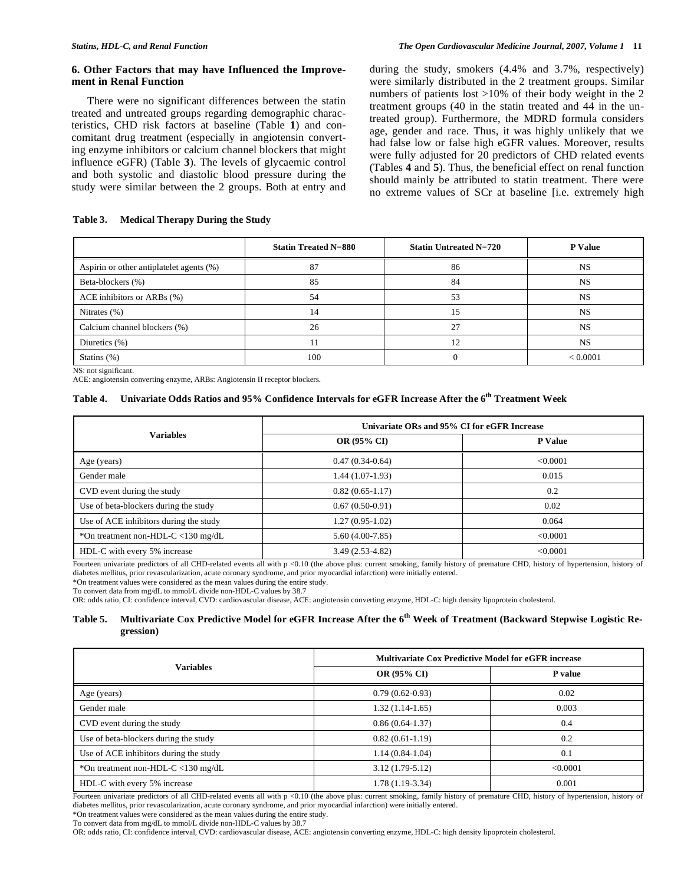#### **6. Other Factors that may have Influenced the Improvement in Renal Function**

 There were no significant differences between the statin treated and untreated groups regarding demographic characteristics, CHD risk factors at baseline (Table **1**) and concomitant drug treatment (especially in angiotensin converting enzyme inhibitors or calcium channel blockers that might influence eGFR) (Table **3**). The levels of glycaemic control and both systolic and diastolic blood pressure during the study were similar between the 2 groups. Both at entry and during the study, smokers (4.4% and 3.7%, respectively) were similarly distributed in the 2 treatment groups. Similar numbers of patients lost >10% of their body weight in the 2 treatment groups (40 in the statin treated and 44 in the untreated group). Furthermore, the MDRD formula considers age, gender and race. Thus, it was highly unlikely that we had false low or false high eGFR values. Moreover, results were fully adjusted for 20 predictors of CHD related events (Tables **4** and **5**). Thus, the beneficial effect on renal function should mainly be attributed to statin treatment. There were no extreme values of SCr at baseline [i.e. extremely high

## **Table 3. Medical Therapy During the Study**

|                                          | <b>Statin Treated N=880</b> | <b>Statin Untreated N=720</b> | <b>P</b> Value |
|------------------------------------------|-----------------------------|-------------------------------|----------------|
| Aspirin or other antiplatelet agents (%) | 87                          | 86                            | <b>NS</b>      |
| Beta-blockers (%)                        | 85                          | 84                            | <b>NS</b>      |
| ACE inhibitors or ARBs (%)               | 54                          | 53                            | <b>NS</b>      |
| Nitrates $(\%)$                          | 14                          | 15                            | NS             |
| Calcium channel blockers (%)             | 26                          | 27                            | <b>NS</b>      |
| Diuretics $(\%)$                         |                             | 12                            | <b>NS</b>      |
| Statins $(\%)$                           | 100                         |                               | < 0.0001       |

NS: not significant.

ACE: angiotensin converting enzyme, ARBs: Angiotensin II receptor blockers.

#### **Table 4. Univariate Odds Ratios and 95% Confidence Intervals for eGFR Increase After the 6th Treatment Week**

| <b>Variables</b>                       | Univariate ORs and 95% CI for eGFR Increase |                |  |
|----------------------------------------|---------------------------------------------|----------------|--|
|                                        | <b>OR (95% CI)</b>                          | <b>P</b> Value |  |
| Age (years)                            | $0.47(0.34-0.64)$                           | < 0.0001       |  |
| Gender male                            | 1.44 (1.07-1.93)                            | 0.015          |  |
| CVD event during the study             | $0.82(0.65 - 1.17)$                         | 0.2            |  |
| Use of beta-blockers during the study  | $0.67(0.50-0.91)$                           | 0.02           |  |
| Use of ACE inhibitors during the study | $1.27(0.95-1.02)$                           | 0.064          |  |
| *On treatment non-HDL-C <130 mg/dL     | $5.60(4.00-7.85)$                           | < 0.0001       |  |
| HDL-C with every 5% increase           | $3.49(2.53-4.82)$                           | <0.0001        |  |

Fourteen univariate predictors of all CHD-related events all with p <0.10 (the above plus: current smoking, family history of premature CHD, history of hypertension, history of diabetes mellitus, prior revascularization, acute coronary syndrome, and prior myocardial infarction) were initially entered.

\*On treatment values were considered as the mean values during the entire study.

To convert data from mg/dL to mmol/L divide non-HDL-C values by 38.7

OR: odds ratio, CI: confidence interval, CVD: cardiovascular disease, ACE: angiotensin converting enzyme, HDL-C: high density lipoprotein cholesterol.

# **Table 5. Multivariate Cox Predictive Model for eGFR Increase After the 6th Week of Treatment (Backward Stepwise Logistic Regression)**

|                                        | <b>Multivariate Cox Predictive Model for eGFR increase</b> |                |  |  |
|----------------------------------------|------------------------------------------------------------|----------------|--|--|
| <b>Variables</b>                       | <b>OR (95% CI)</b>                                         | <b>P</b> value |  |  |
| Age (years)                            | $0.79(0.62-0.93)$                                          | 0.02           |  |  |
| Gender male                            | $1.32(1.14-1.65)$                                          | 0.003          |  |  |
| CVD event during the study             | $0.86(0.64-1.37)$                                          | 0.4            |  |  |
| Use of beta-blockers during the study  | $0.82(0.61-1.19)$                                          | 0.2            |  |  |
| Use of ACE inhibitors during the study | $1.14(0.84-1.04)$                                          | 0.1            |  |  |
| *On treatment non-HDL-C <130 mg/dL     | $3.12(1.79-5.12)$                                          | < 0.0001       |  |  |
| HDL-C with every 5% increase           | $1.78(1.19-3.34)$                                          | 0.001          |  |  |

Fourteen univariate predictors of all CHD-related events all with  $p \ll 0.10$  (the above plus: current smoking, family history of premature CHD, history of hypertension, history of diabetes mellitus, prior revascularization, acute coronary syndrome, and prior myocardial infarction) were initially entered.

\*On treatment values were considered as the mean values during the entire study.

OR: odds ratio, CI: confidence interval, CVD: cardiovascular disease, ACE: angiotensin converting enzyme, HDL-C: high density lipoprotein cholesterol.

To convert data from mg/dL to mmol/L divide non-HDL-C values by 38.7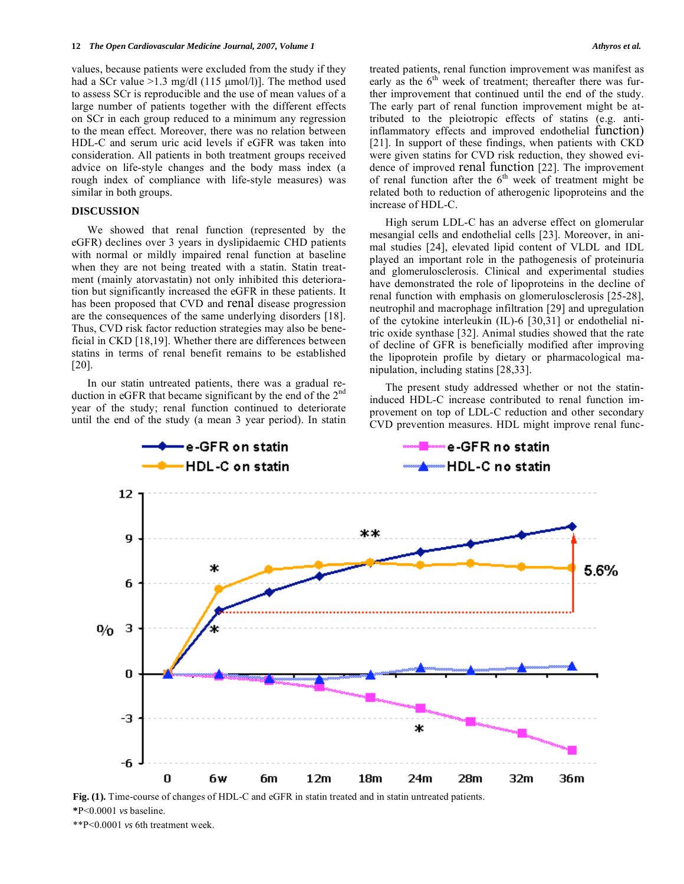values, because patients were excluded from the study if they had a SCr value >1.3 mg/dl (115 μmol/l)]. The method used to assess SCr is reproducible and the use of mean values of a large number of patients together with the different effects on SCr in each group reduced to a minimum any regression to the mean effect. Moreover, there was no relation between HDL-C and serum uric acid levels if eGFR was taken into consideration. All patients in both treatment groups received advice on life-style changes and the body mass index (a rough index of compliance with life-style measures) was similar in both groups.

## **DISCUSSION**

 We showed that renal function (represented by the eGFR) declines over 3 years in dyslipidaemic CHD patients with normal or mildly impaired renal function at baseline when they are not being treated with a statin. Statin treatment (mainly atorvastatin) not only inhibited this deterioration but significantly increased the eGFR in these patients. It has been proposed that CVD and renal disease progression are the consequences of the same underlying disorders [18]. Thus, CVD risk factor reduction strategies may also be beneficial in CKD [18,19]. Whether there are differences between statins in terms of renal benefit remains to be established [20].

 In our statin untreated patients, there was a gradual reduction in eGFR that became significant by the end of the 2<sup>nd</sup> year of the study; renal function continued to deteriorate until the end of the study (a mean 3 year period). In statin treated patients, renal function improvement was manifest as early as the  $6<sup>th</sup>$  week of treatment; thereafter there was further improvement that continued until the end of the study. The early part of renal function improvement might be attributed to the pleiotropic effects of statins (e.g. antiinflammatory effects and improved endothelial function) [21]. In support of these findings, when patients with CKD were given statins for CVD risk reduction, they showed evidence of improved renal function [22]. The improvement of renal function after the  $6<sup>th</sup>$  week of treatment might be related both to reduction of atherogenic lipoproteins and the increase of HDL-C.

 High serum LDL-C has an adverse effect on glomerular mesangial cells and endothelial cells [23]. Moreover, in animal studies [24], elevated lipid content of VLDL and IDL played an important role in the pathogenesis of proteinuria and glomerulosclerosis. Clinical and experimental studies have demonstrated the role of lipoproteins in the decline of renal function with emphasis on glomerulosclerosis [25-28], neutrophil and macrophage infiltration [29] and upregulation of the cytokine interleukin (IL)-6 [30,31] or endothelial nitric oxide synthase [32]. Animal studies showed that the rate of decline of GFR is beneficially modified after improving the lipoprotein profile by dietary or pharmacological manipulation, including statins [28,33].

 The present study addressed whether or not the statininduced HDL-C increase contributed to renal function improvement on top of LDL-C reduction and other secondary CVD prevention measures. HDL might improve renal func-



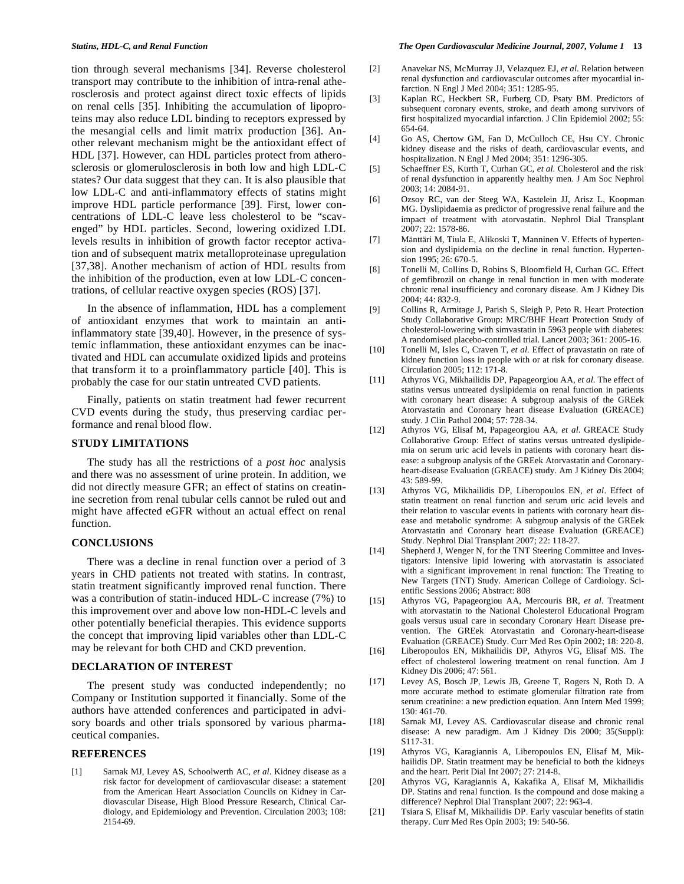tion through several mechanisms [34]. Reverse cholesterol transport may contribute to the inhibition of intra-renal atherosclerosis and protect against direct toxic effects of lipids on renal cells [35]. Inhibiting the accumulation of lipoproteins may also reduce LDL binding to receptors expressed by the mesangial cells and limit matrix production [36]. Another relevant mechanism might be the antioxidant effect of HDL [37]. However, can HDL particles protect from atherosclerosis or glomerulosclerosis in both low and high LDL-C states? Our data suggest that they can. It is also plausible that low LDL-C and anti-inflammatory effects of statins might improve HDL particle performance [39]. First, lower concentrations of LDL-C leave less cholesterol to be "scavenged" by HDL particles. Second, lowering oxidized LDL levels results in inhibition of growth factor receptor activation and of subsequent matrix metalloproteinase upregulation [37,38]. Another mechanism of action of HDL results from the inhibition of the production, even at low LDL-C concentrations, of cellular reactive oxygen species (ROS) [37].

 In the absence of inflammation, HDL has a complement of antioxidant enzymes that work to maintain an antiinflammatory state [39,40]. However, in the presence of systemic inflammation, these antioxidant enzymes can be inactivated and HDL can accumulate oxidized lipids and proteins that transform it to a proinflammatory particle [40]. This is probably the case for our statin untreated CVD patients.

 Finally, patients on statin treatment had fewer recurrent CVD events during the study, thus preserving cardiac performance and renal blood flow.

# **STUDY LIMITATIONS**

 The study has all the restrictions of a *post hoc* analysis and there was no assessment of urine protein. In addition, we did not directly measure GFR; an effect of statins on creatinine secretion from renal tubular cells cannot be ruled out and might have affected eGFR without an actual effect on renal function.

#### **CONCLUSIONS**

 There was a decline in renal function over a period of 3 years in CHD patients not treated with statins. In contrast, statin treatment significantly improved renal function. There was a contribution of statin-induced HDL-C increase (7%) to this improvement over and above low non-HDL-C levels and other potentially beneficial therapies. This evidence supports the concept that improving lipid variables other than LDL-C may be relevant for both CHD and CKD prevention.

#### **DECLARATION OF INTEREST**

 The present study was conducted independently; no Company or Institution supported it financially. Some of the authors have attended conferences and participated in advisory boards and other trials sponsored by various pharmaceutical companies.

## **REFERENCES**

[1] Sarnak MJ, Levey AS, Schoolwerth AC, *et al*. Kidney disease as a risk factor for development of cardiovascular disease: a statement from the American Heart Association Councils on Kidney in Cardiovascular Disease, High Blood Pressure Research, Clinical Cardiology, and Epidemiology and Prevention. Circulation 2003; 108: 2154-69.

- [2] Anavekar NS, McMurray JJ, Velazquez EJ, *et al*. Relation between renal dysfunction and cardiovascular outcomes after myocardial infarction. N Engl J Med 2004; 351: 1285-95.
- [3] Kaplan RC, Heckbert SR, Furberg CD, Psaty BM. Predictors of subsequent coronary events, stroke, and death among survivors of first hospitalized myocardial infarction. J Clin Epidemiol 2002; 55: 654-64.
- [4] Go AS, Chertow GM, Fan D, McCulloch CE, Hsu CY. Chronic kidney disease and the risks of death, cardiovascular events, and hospitalization. N Engl J Med 2004; 351: 1296-305.
- [5] Schaeffner ES, Kurth T, Curhan GC, *et al*. Cholesterol and the risk of renal dysfunction in apparently healthy men. J Am Soc Nephrol 2003; 14: 2084-91.
- [6] Ozsoy RC, van der Steeg WA, Kastelein JJ, Arisz L, Koopman MG. Dyslipidaemia as predictor of progressive renal failure and the impact of treatment with atorvastatin. Nephrol Dial Transplant 2007; 22: 1578-86.
- [7] Mänttäri M, Tiula E, Alikoski T, Manninen V. Effects of hypertension and dyslipidemia on the decline in renal function. Hypertension 1995; 26: 670-5.
- [8] Tonelli M, Collins D, Robins S, Bloomfield H, Curhan GC. Effect of gemfibrozil on change in renal function in men with moderate chronic renal insufficiency and coronary disease. Am J Kidney Dis 2004; 44: 832-9.
- [9] Collins R, Armitage J, Parish S, Sleigh P, Peto R. Heart Protection Study Collaborative Group: MRC/BHF Heart Protection Study of cholesterol-lowering with simvastatin in 5963 people with diabetes: A randomised placebo-controlled trial. Lancet 2003; 361: 2005-16.
- [10] Tonelli M, Isles C, Craven T, *et al*. Effect of pravastatin on rate of kidney function loss in people with or at risk for coronary disease. Circulation 2005; 112: 171-8.
- [11] Athyros VG, Mikhailidis DP, Papageorgiou AA, *et al*. The effect of statins versus untreated dyslipidemia on renal function in patients with coronary heart disease: A subgroup analysis of the GREek Atorvastatin and Coronary heart disease Evaluation (GREACE) study. J Clin Pathol 2004; 57: 728-34.
- [12] Athyros VG, Elisaf M, Papageorgiou AA, *et al*. GREACE Study Collaborative Group: Effect of statins versus untreated dyslipidemia on serum uric acid levels in patients with coronary heart disease: a subgroup analysis of the GREek Atorvastatin and Coronaryheart-disease Evaluation (GREACE) study. Am J Kidney Dis 2004; 43: 589-99.
- [13] Athyros VG, Mikhailidis DP, Liberopoulos EN, *et al*. Effect of statin treatment on renal function and serum uric acid levels and their relation to vascular events in patients with coronary heart disease and metabolic syndrome: A subgroup analysis of the GREek Atorvastatin and Coronary heart disease Evaluation (GREACE) Study. Nephrol Dial Transplant 2007; 22: 118-27.
- [14] Shepherd J, Wenger N, for the TNT Steering Committee and Investigators: Intensive lipid lowering with atorvastatin is associated with a significant improvement in renal function: The Treating to New Targets (TNT) Study. American College of Cardiology. Scientific Sessions 2006; Abstract: 808
- [15] Athyros VG, Papageorgiou AA, Mercouris BR, *et al*. Treatment with atorvastatin to the National Cholesterol Educational Program goals versus usual care in secondary Coronary Heart Disease prevention. The GREek Atorvastatin and Coronary-heart-disease Evaluation (GREACE) Study. Curr Med Res Opin 2002; 18: 220-8.
- [16] Liberopoulos EN, Mikhailidis DP, Athyros VG, Elisaf MS. The effect of cholesterol lowering treatment on renal function. Am J Kidney Dis 2006; 47: 561.
- [17] Levey AS, Bosch JP, Lewis JB, Greene T, Rogers N, Roth D. A more accurate method to estimate glomerular filtration rate from serum creatinine: a new prediction equation. Ann Intern Med 1999; 130: 461-70.
- [18] Sarnak MJ, Levey AS. Cardiovascular disease and chronic renal disease: A new paradigm. Am J Kidney Dis 2000; 35(Suppl): S117-31.
- [19] Athyros VG, Karagiannis A, Liberopoulos EN, Elisaf M, Mikhailidis DP. Statin treatment may be beneficial to both the kidneys and the heart. Perit Dial Int 2007; 27: 214-8.
- [20] Athyros VG, Karagiannis A, Kakafika A, Elisaf M, Mikhailidis DP. Statins and renal function. Is the compound and dose making a difference? Nephrol Dial Transplant 2007; 22: 963-4.
- [21] Tsiara S, Elisaf M, Mikhailidis DP. Early vascular benefits of statin therapy. Curr Med Res Opin 2003; 19: 540-56.